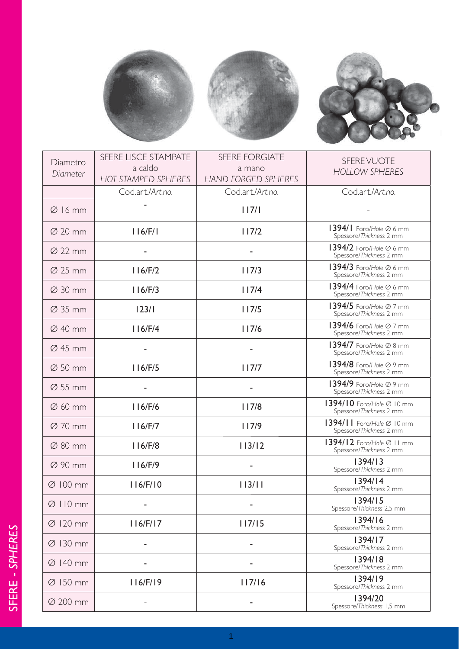





| Diametro<br>Diameter | SFERE LISCE STAMPATE<br>a caldo<br><b>HOT STAMPED SPHERES</b> | <b>SFERE FORGIATE</b><br>a mano<br><b>HAND FORGED SPHERES</b> | SFERE VUOTE<br><b>HOLLOW SPHERES</b>                           |
|----------------------|---------------------------------------------------------------|---------------------------------------------------------------|----------------------------------------------------------------|
|                      | Cod.art./Art.no.                                              | Cod.art./Art.no.                                              | Cod.art./Art.no.                                               |
| $\varnothing$ 16 mm  |                                                               | 117/1                                                         |                                                                |
| $\varnothing$ 20 mm  | 116/F/1                                                       | 117/2                                                         | 1394/1 Foro/Hole Ø 6 mm<br>Spessore/Thickness 2 mm             |
| $\varnothing$ 22 mm  |                                                               |                                                               | 1394/2 Foro/Hole Ø 6 mm<br>Spessore/Thickness 2 mm             |
| $\varnothing$ 25 mm  | 116/F/2                                                       | 117/3                                                         | 1394/3 Foro/Hole $\varnothing$ 6 mm<br>Spessore/Thickness 2 mm |
| $\varnothing$ 30 mm  | 116/F/3                                                       | 117/4                                                         | 1394/4 Foro/Hole Ø 6 mm<br>Spessore/Thickness 2 mm             |
| $\varnothing$ 35 mm  | 123/1                                                         | 117/5                                                         | 1394/5 Foro/Hole $\varnothing$ 7 mm<br>Spessore/Thickness 2 mm |
| $\varnothing$ 40 mm  | 116/F/4                                                       | 117/6                                                         | 1394/6 Foro/Hole Ø 7 mm<br>Spessore/Thickness 2 mm             |
| $\varnothing$ 45 mm  |                                                               |                                                               | 1394/7 Foro/Hole Ø 8 mm<br>Spessore/Thickness 2 mm             |
| $\varnothing$ 50 mm  | 116/F/5                                                       | 117/7                                                         | 1394/8 Foro/Hole Ø 9 mm<br>Spessore/Thickness 2 mm             |
| $\varnothing$ 55 mm  |                                                               |                                                               | 1394/9 Foro/Hole Ø 9 mm<br>Spessore/Thickness 2 mm             |
| $\varnothing$ 60 mm  | 116/F/6                                                       | 117/8                                                         | 1394/10 Foro/Hole Ø 10 mm<br>Spessore/Thickness 2 mm           |
| $\varnothing$ 70 mm  | 116/F/7                                                       | 117/9                                                         | 1394/11 Foro/Hole Ø 10 mm<br>Spessore/Thickness 2 mm           |
| $\varnothing$ 80 mm  | 116/F/8                                                       | 113/12                                                        | 1394/12 Foro/Hole Ø 11 mm<br>Spessore/Thickness 2 mm           |
| $\varnothing$ 90 mm  | 116/F/9                                                       |                                                               | 1394/13<br>Spessore/Thickness 2 mm                             |
| $\varnothing$ 100 mm | 116/F/10                                                      | 113/11                                                        | 1394/14<br>Spessore/Thickness 2 mm                             |
| $Ø$ 110 mm           |                                                               |                                                               | 1394/15<br>Spessore/Thickness 2,5 mm                           |
| $\varnothing$ 120 mm | 116/F/17                                                      | 117/15                                                        | 1394/16<br>Spessore/Thickness 2 mm                             |
| $\varnothing$ 130 mm |                                                               |                                                               | 1394/17<br>Spessore/Thickness 2 mm                             |
| $\varnothing$ 140 mm |                                                               |                                                               | 1394/18<br>Spessore/Thickness 2 mm                             |
| $\varnothing$ 150 mm | 116/F/19                                                      | 117/16                                                        | 1394/19<br>Spessore/Thickness 2 mm                             |
| $\varnothing$ 200 mm |                                                               |                                                               | 1394/20<br>Spessore/Thickness 1,5 mm                           |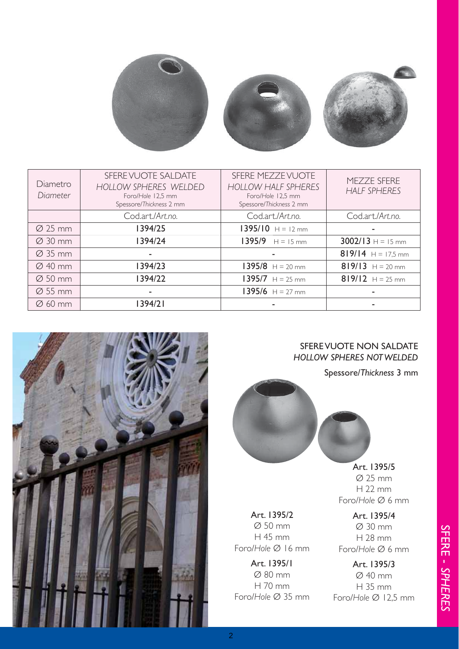

| Diametro<br>Diameter | SFERE VUOTE SALDATE<br>HOLLOW SPHERES WELDED<br>Foro/Hole 12,5 mm<br>Spessore/Thickness 2 mm | SFERE MEZZE VUOTE<br><b>HOLLOW HALF SPHERES</b><br>Foro/Hole 12,5 mm<br>Spessore/Thickness 2 mm | MEZZE SFERE<br><b>HALF SPHERES</b> |
|----------------------|----------------------------------------------------------------------------------------------|-------------------------------------------------------------------------------------------------|------------------------------------|
|                      | Cod.art./Art.no.                                                                             | Cod.art./Art.no.                                                                                | Cod.art./Art.no.                   |
| $\varnothing$ 25 mm  | 1394/25                                                                                      | $1395/10$ H = 12 mm                                                                             |                                    |
| $\varnothing$ 30 mm  | 1394/24                                                                                      | $1395/9$ H = 15 mm                                                                              | $3002/13$ H = 15 mm                |
| $\varnothing$ 35 mm  | ۰                                                                                            | ۰                                                                                               | 819/14 $H = 17,5$ mm               |
| $\varnothing$ 40 mm  | 1394/23                                                                                      | $1395/8$ H = 20 mm                                                                              | 819/13 $H = 20$ mm                 |
| $\varnothing$ 50 mm  | 1394/22                                                                                      | $1395/7$ H = 25 mm                                                                              | 819/12 $H = 25$ mm                 |
| $\varnothing$ 55 mm  | ۰                                                                                            | $1395/6$ H = 27 mm                                                                              |                                    |
| $\varnothing$ 60 mm  | 1394/21                                                                                      |                                                                                                 |                                    |



## SFERE VUOTE NON SALDATE *HOLLOW SPHERES NOT WELDED*

Spessore/*Thickness* 3 mm



Art. 1395/5 Ø 25 mm H 22 mm Foro/*Hole* Ø 6 mm

Art. 1395/2 Ø 50 mm H 45 mm Foro/*Hole* Ø 16 mm

Art. 1395/1 Ø 80 mm H 70 mm Foro/*Hole* Ø 35 mm

Art. 1395/4 Ø 30 mm H 28 mm Foro/*Hole* Ø 6 mm

Art. 1395/3 Ø 40 mm H 35 mm Foro/*Hole* Ø 12,5 mm